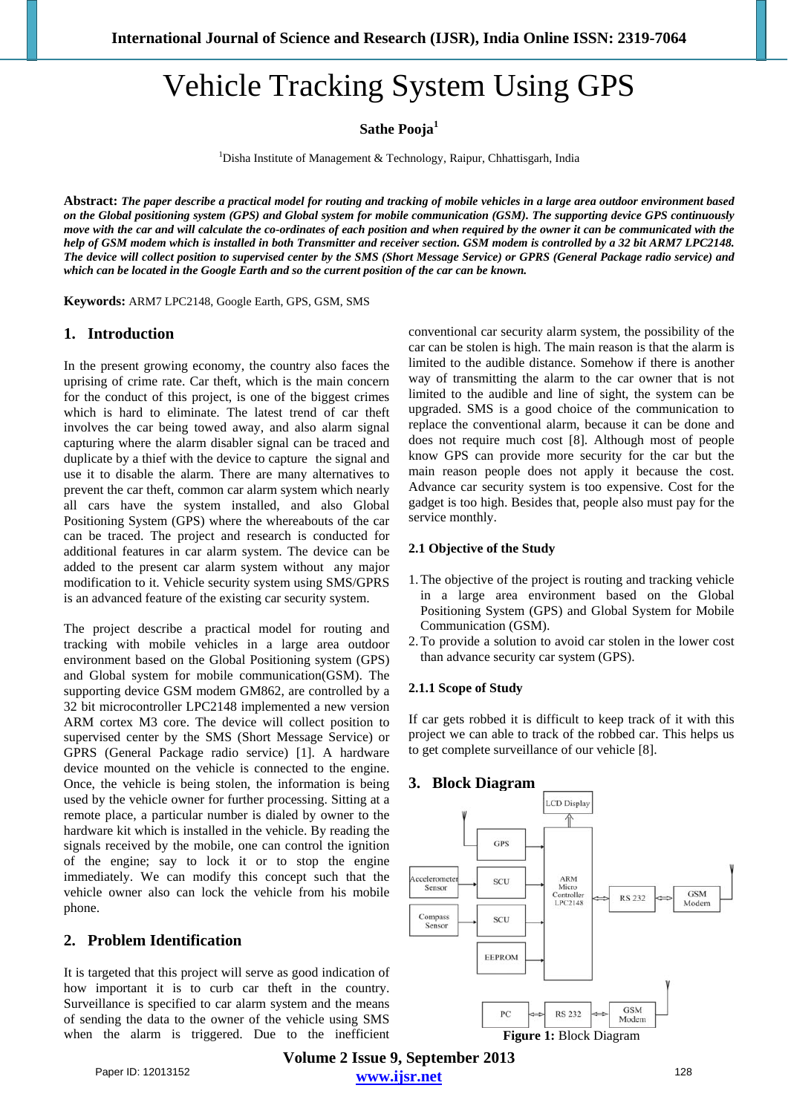# Vehicle Tracking System Using GPS

**Sathe Pooja<sup>1</sup>**

<sup>1</sup>Disha Institute of Management & Technology, Raipur, Chhattisgarh, India

**Abstract:** *The paper describe a practical model for routing and tracking of mobile vehicles in a large area outdoor environment based on the Global positioning system (GPS) and Global system for mobile communication (GSM). The supporting device GPS continuously move with the car and will calculate the co-ordinates of each position and when required by the owner it can be communicated with the help of GSM modem which is installed in both Transmitter and receiver section. GSM modem is controlled by a 32 bit ARM7 LPC2148. The device will collect position to supervised center by the SMS (Short Message Service) or GPRS (General Package radio service) and which can be located in the Google Earth and so the current position of the car can be known.* 

**Keywords:** ARM7 LPC2148, Google Earth, GPS, GSM, SMS

## **1. Introduction**

In the present growing economy, the country also faces the uprising of crime rate. Car theft, which is the main concern for the conduct of this project, is one of the biggest crimes which is hard to eliminate. The latest trend of car theft involves the car being towed away, and also alarm signal capturing where the alarm disabler signal can be traced and duplicate by a thief with the device to capture the signal and use it to disable the alarm. There are many alternatives to prevent the car theft, common car alarm system which nearly all cars have the system installed, and also Global Positioning System (GPS) where the whereabouts of the car can be traced. The project and research is conducted for additional features in car alarm system. The device can be added to the present car alarm system without any major modification to it. Vehicle security system using SMS/GPRS is an advanced feature of the existing car security system.

The project describe a practical model for routing and tracking with mobile vehicles in a large area outdoor environment based on the Global Positioning system (GPS) and Global system for mobile communication(GSM). The supporting device GSM modem GM862, are controlled by a 32 bit microcontroller LPC2148 implemented a new version ARM cortex M3 core. The device will collect position to supervised center by the SMS (Short Message Service) or GPRS (General Package radio service) [1]. A hardware device mounted on the vehicle is connected to the engine. Once, the vehicle is being stolen, the information is being used by the vehicle owner for further processing. Sitting at a remote place, a particular number is dialed by owner to the hardware kit which is installed in the vehicle. By reading the signals received by the mobile, one can control the ignition of the engine; say to lock it or to stop the engine immediately. We can modify this concept such that the vehicle owner also can lock the vehicle from his mobile phone.

# **2. Problem Identification**

It is targeted that this project will serve as good indication of how important it is to curb car theft in the country. Surveillance is specified to car alarm system and the means of sending the data to the owner of the vehicle using SMS when the alarm is triggered. Due to the inefficient conventional car security alarm system, the possibility of the car can be stolen is high. The main reason is that the alarm is limited to the audible distance. Somehow if there is another way of transmitting the alarm to the car owner that is not limited to the audible and line of sight, the system can be upgraded. SMS is a good choice of the communication to replace the conventional alarm, because it can be done and does not require much cost [8]. Although most of people know GPS can provide more security for the car but the main reason people does not apply it because the cost. Advance car security system is too expensive. Cost for the gadget is too high. Besides that, people also must pay for the service monthly.

### **2.1 Objective of the Study**

- 1.The objective of the project is routing and tracking vehicle in a large area environment based on the Global Positioning System (GPS) and Global System for Mobile Communication (GSM).
- 2.To provide a solution to avoid car stolen in the lower cost than advance security car system (GPS).

#### **2.1.1 Scope of Study**

If car gets robbed it is difficult to keep track of it with this project we can able to track of the robbed car. This helps us to get complete surveillance of our vehicle [8].

## **3. Block Diagram**



**Volume 2 Issue 9, September 2013 www.ijsr.net** Paper ID: 12013152 128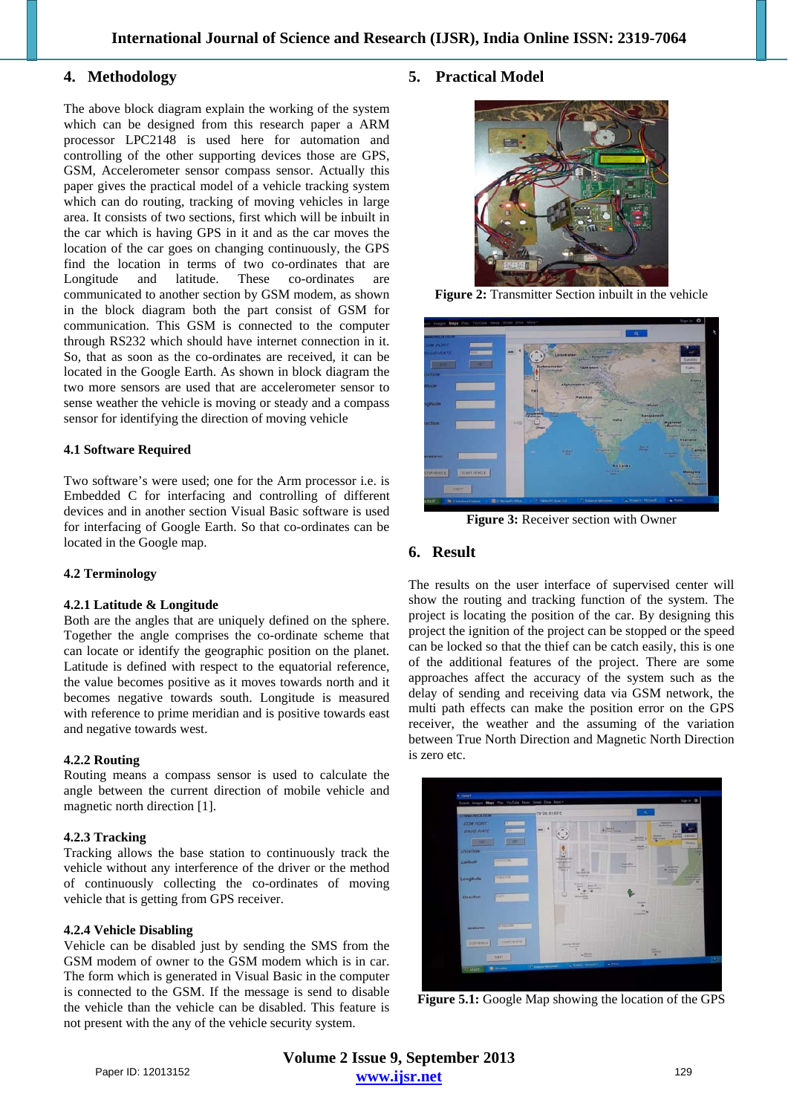## **4. Methodology**

The above block diagram explain the working of the system which can be designed from this research paper a ARM processor LPC2148 is used here for automation and controlling of the other supporting devices those are GPS, GSM, Accelerometer sensor compass sensor. Actually this paper gives the practical model of a vehicle tracking system which can do routing, tracking of moving vehicles in large area. It consists of two sections, first which will be inbuilt in the car which is having GPS in it and as the car moves the location of the car goes on changing continuously, the GPS find the location in terms of two co-ordinates that are Longitude and latitude. These co-ordinates are communicated to another section by GSM modem, as shown in the block diagram both the part consist of GSM for communication. This GSM is connected to the computer through RS232 which should have internet connection in it. So, that as soon as the co-ordinates are received, it can be located in the Google Earth. As shown in block diagram the two more sensors are used that are accelerometer sensor to sense weather the vehicle is moving or steady and a compass sensor for identifying the direction of moving vehicle

#### **4.1 Software Required**

Two software's were used; one for the Arm processor i.e. is Embedded C for interfacing and controlling of different devices and in another section Visual Basic software is used for interfacing of Google Earth. So that co-ordinates can be located in the Google map.

#### **4.2 Terminology**

#### **4.2.1 Latitude & Longitude**

Both are the angles that are uniquely defined on the sphere. Together the angle comprises the co-ordinate scheme that can locate or identify the geographic position on the planet. Latitude is defined with respect to the equatorial reference, the value becomes positive as it moves towards north and it becomes negative towards south. Longitude is measured with reference to prime meridian and is positive towards east and negative towards west.

#### **4.2.2 Routing**

Routing means a compass sensor is used to calculate the angle between the current direction of mobile vehicle and magnetic north direction [1].

#### **4.2.3 Tracking**

Tracking allows the base station to continuously track the vehicle without any interference of the driver or the method of continuously collecting the co-ordinates of moving vehicle that is getting from GPS receiver.

#### **4.2.4 Vehicle Disabling**

Vehicle can be disabled just by sending the SMS from the GSM modem of owner to the GSM modem which is in car. The form which is generated in Visual Basic in the computer is connected to the GSM. If the message is send to disable the vehicle than the vehicle can be disabled. This feature is not present with the any of the vehicle security system.

## **5. Practical Model**



**Figure 2:** Transmitter Section inbuilt in the vehicle



**Figure 3:** Receiver section with Owner

# **6. Result**

The results on the user interface of supervised center will show the routing and tracking function of the system. The project is locating the position of the car. By designing this project the ignition of the project can be stopped or the speed can be locked so that the thief can be catch easily, this is one of the additional features of the project. There are some approaches affect the accuracy of the system such as the delay of sending and receiving data via GSM network, the multi path effects can make the position error on the GPS receiver, the weather and the assuming of the variation between True North Direction and Magnetic North Direction is zero etc.



**Figure 5.1:** Google Map showing the location of the GPS